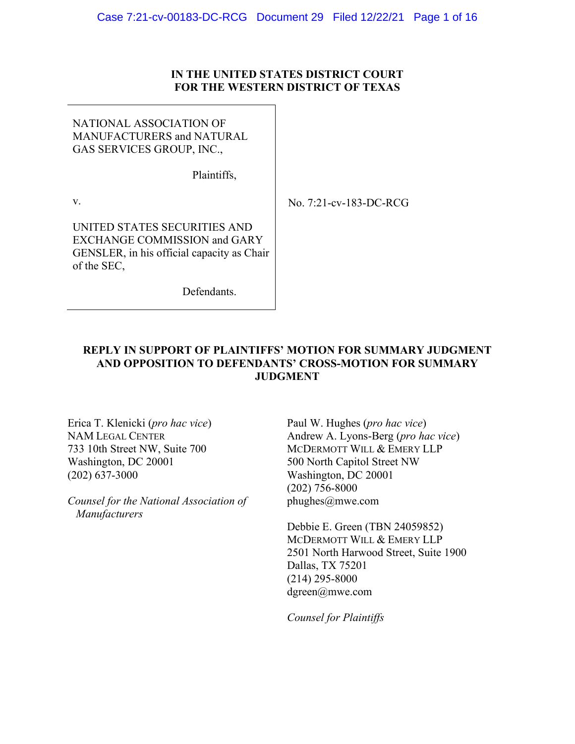## **IN THE UNITED STATES DISTRICT COURT FOR THE WESTERN DISTRICT OF TEXAS**

NATIONAL ASSOCIATION OF MANUFACTURERS and NATURAL GAS SERVICES GROUP, INC.,

Plaintiffs,

v.

No. 7:21-cv-183-DC-RCG

UNITED STATES SECURITIES AND EXCHANGE COMMISSION and GARY GENSLER, in his official capacity as Chair of the SEC,

Defendants.

## **REPLY IN SUPPORT OF PLAINTIFFS' MOTION FOR SUMMARY JUDGMENT AND OPPOSITION TO DEFENDANTS' CROSS-MOTION FOR SUMMARY JUDGMENT**

Erica T. Klenicki (*pro hac vice*) NAM LEGAL CENTER 733 10th Street NW, Suite 700 Washington, DC 20001 (202) 637-3000

*Counsel for the National Association of Manufacturers*

Paul W. Hughes (*pro hac vice*) Andrew A. Lyons-Berg (*pro hac vice*) MCDERMOTT WILL & EMERY LLP 500 North Capitol Street NW Washington, DC 20001 (202) 756-8000 phughes@mwe.com

Debbie E. Green (TBN 24059852) MCDERMOTT WILL & EMERY LLP 2501 North Harwood Street, Suite 1900 Dallas, TX 75201 (214) 295-8000 dgreen@mwe.com

*Counsel for Plaintiffs*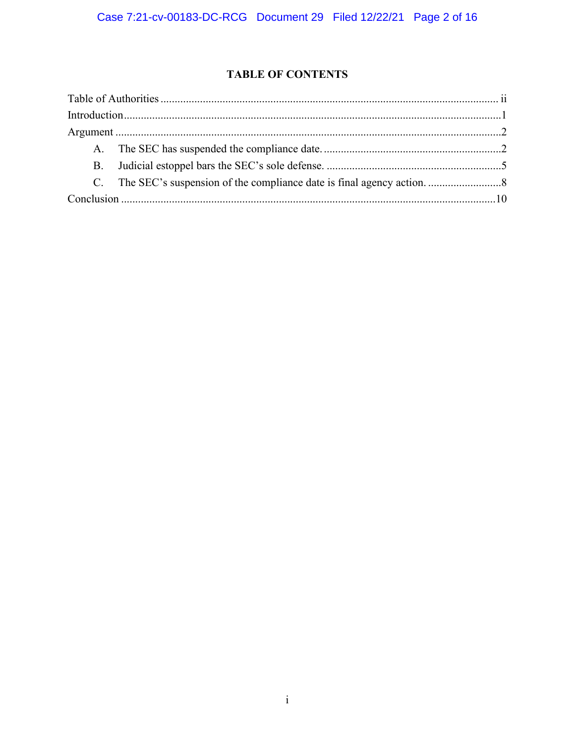# **TABLE OF CONTENTS**

| Introduction 1 |  |  |
|----------------|--|--|
|                |  |  |
|                |  |  |
|                |  |  |
|                |  |  |
|                |  |  |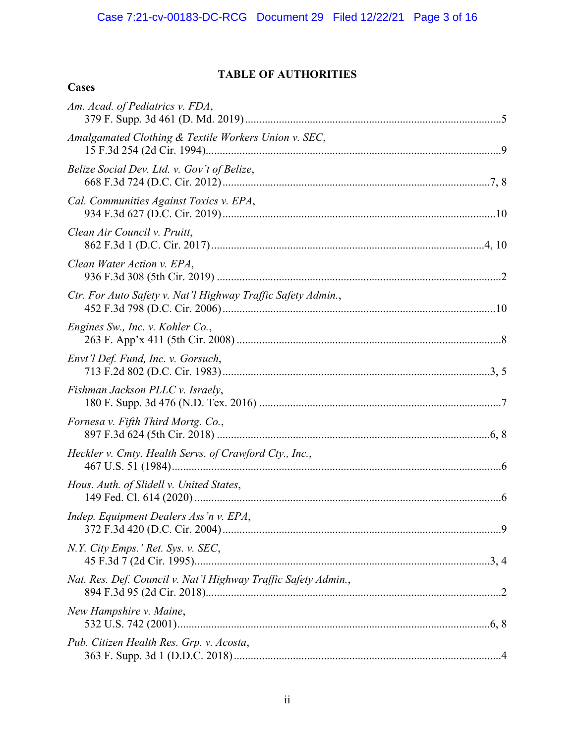# **TABLE OF AUTHORITIES**

<span id="page-2-0"></span>**Cases**

| Am. Acad. of Pediatrics v. FDA,                                |
|----------------------------------------------------------------|
| Amalgamated Clothing & Textile Workers Union v. SEC,           |
| Belize Social Dev. Ltd. v. Gov't of Belize,                    |
| Cal. Communities Against Toxics v. EPA,                        |
| Clean Air Council v. Pruitt,                                   |
| Clean Water Action v. EPA,                                     |
| Ctr. For Auto Safety v. Nat'l Highway Traffic Safety Admin.,   |
| Engines Sw., Inc. v. Kohler Co.,                               |
| Envt'l Def. Fund, Inc. v. Gorsuch,                             |
| Fishman Jackson PLLC v. Israely,                               |
| Fornesa v. Fifth Third Mortg. Co.,                             |
| Heckler v. Cmty. Health Servs. of Crawford Cty., Inc.,         |
| Hous. Auth. of Slidell v. United States,                       |
| Indep. Equipment Dealers Ass'n v. EPA,                         |
| N.Y. City Emps.' Ret. Sys. v. SEC,                             |
| Nat. Res. Def. Council v. Nat'l Highway Traffic Safety Admin., |
| New Hampshire v. Maine,                                        |
| Pub. Citizen Health Res. Grp. v. Acosta,                       |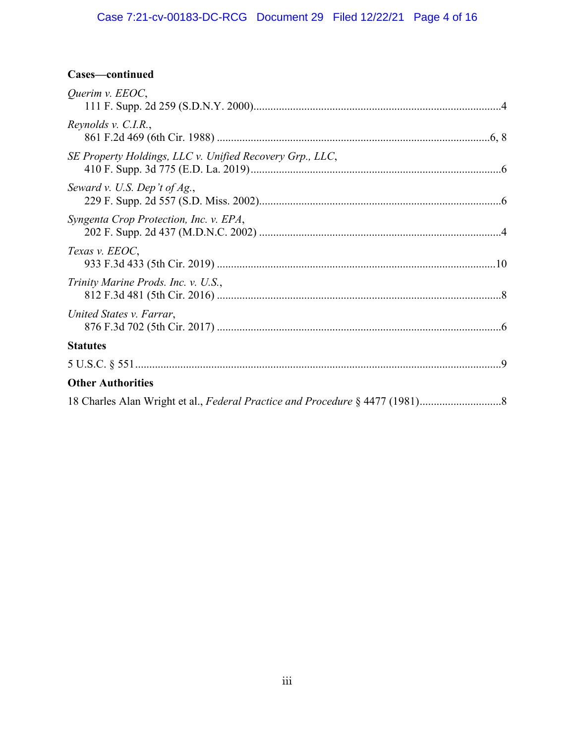# Case 7:21-cv-00183-DC-RCG Document 29 Filed 12/22/21 Page 4 of 16

# **Cases—continued**

| Querim v. EEOC,                                          |
|----------------------------------------------------------|
| Reynolds v. C.I.R.,                                      |
| SE Property Holdings, LLC v. Unified Recovery Grp., LLC, |
| Seward v. U.S. Dep't of $Ag.,$                           |
| Syngenta Crop Protection, Inc. v. EPA,                   |
| Texas v. EEOC,                                           |
| Trinity Marine Prods. Inc. v. U.S.,                      |
| United States v. Farrar,                                 |
| <b>Statutes</b>                                          |
|                                                          |
| <b>Other Authorities</b>                                 |
|                                                          |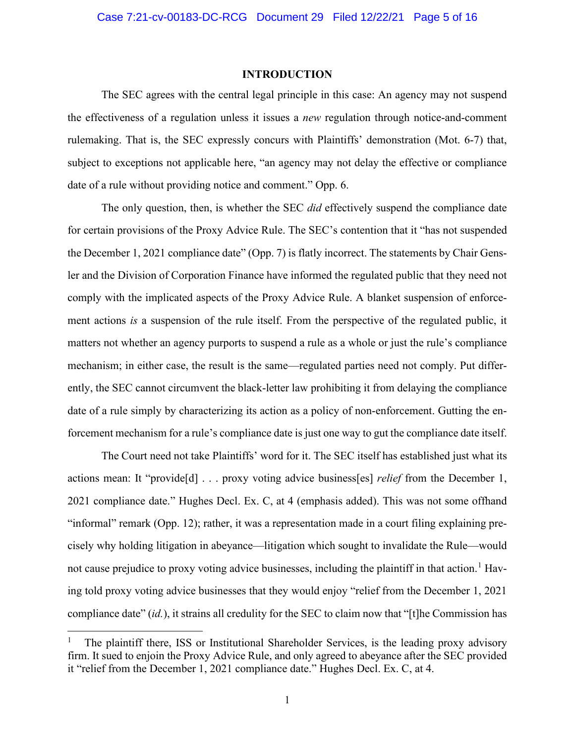#### **INTRODUCTION**

<span id="page-4-0"></span>The SEC agrees with the central legal principle in this case: An agency may not suspend the effectiveness of a regulation unless it issues a *new* regulation through notice-and-comment rulemaking. That is, the SEC expressly concurs with Plaintiffs' demonstration (Mot. 6-7) that, subject to exceptions not applicable here, "an agency may not delay the effective or compliance date of a rule without providing notice and comment." Opp. 6.

The only question, then, is whether the SEC *did* effectively suspend the compliance date for certain provisions of the Proxy Advice Rule. The SEC's contention that it "has not suspended the December 1, 2021 compliance date" (Opp. 7) is flatly incorrect. The statements by Chair Gensler and the Division of Corporation Finance have informed the regulated public that they need not comply with the implicated aspects of the Proxy Advice Rule. A blanket suspension of enforcement actions *is* a suspension of the rule itself. From the perspective of the regulated public, it matters not whether an agency purports to suspend a rule as a whole or just the rule's compliance mechanism; in either case, the result is the same—regulated parties need not comply. Put differently, the SEC cannot circumvent the black-letter law prohibiting it from delaying the compliance date of a rule simply by characterizing its action as a policy of non-enforcement. Gutting the enforcement mechanism for a rule's compliance date is just one way to gut the compliance date itself.

The Court need not take Plaintiffs' word for it. The SEC itself has established just what its actions mean: It "provide[d] . . . proxy voting advice business[es] *relief* from the December 1, 2021 compliance date." Hughes Decl. Ex. C, at 4 (emphasis added). This was not some offhand "informal" remark (Opp. 12); rather, it was a representation made in a court filing explaining precisely why holding litigation in abeyance—litigation which sought to invalidate the Rule—would not cause prejudice to proxy voting advice businesses, including the plaintiff in that action.<sup>[1](#page-4-1)</sup> Having told proxy voting advice businesses that they would enjoy "relief from the December 1, 2021 compliance date" (*id.*), it strains all credulity for the SEC to claim now that "[t]he Commission has

<span id="page-4-1"></span><sup>1</sup> The plaintiff there, ISS or Institutional Shareholder Services, is the leading proxy advisory firm. It sued to enjoin the Proxy Advice Rule, and only agreed to abeyance after the SEC provided it "relief from the December 1, 2021 compliance date." Hughes Decl. Ex. C, at 4.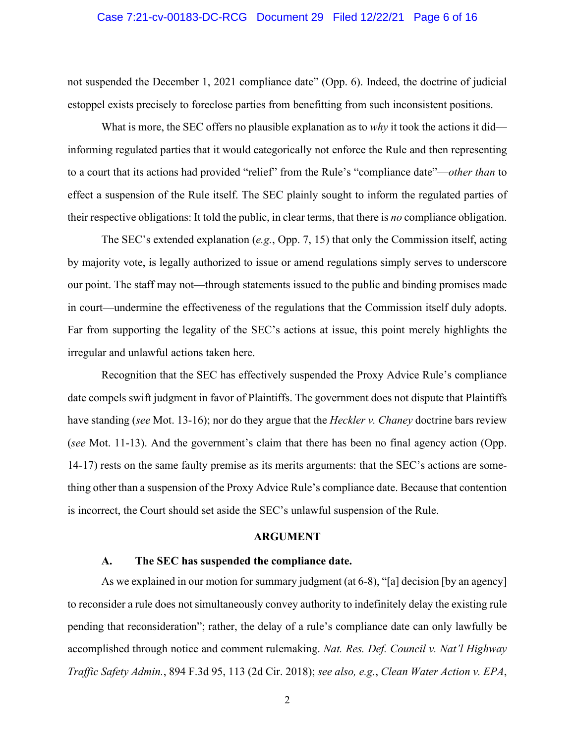#### Case 7:21-cv-00183-DC-RCG Document 29 Filed 12/22/21 Page 6 of 16

not suspended the December 1, 2021 compliance date" (Opp. 6). Indeed, the doctrine of judicial estoppel exists precisely to foreclose parties from benefitting from such inconsistent positions.

What is more, the SEC offers no plausible explanation as to *why* it took the actions it did informing regulated parties that it would categorically not enforce the Rule and then representing to a court that its actions had provided "relief" from the Rule's "compliance date"—*other than* to effect a suspension of the Rule itself. The SEC plainly sought to inform the regulated parties of their respective obligations: It told the public, in clear terms, that there is *no* compliance obligation.

The SEC's extended explanation (*e.g.*, Opp. 7, 15) that only the Commission itself, acting by majority vote, is legally authorized to issue or amend regulations simply serves to underscore our point. The staff may not—through statements issued to the public and binding promises made in court—undermine the effectiveness of the regulations that the Commission itself duly adopts. Far from supporting the legality of the SEC's actions at issue, this point merely highlights the irregular and unlawful actions taken here.

Recognition that the SEC has effectively suspended the Proxy Advice Rule's compliance date compels swift judgment in favor of Plaintiffs. The government does not dispute that Plaintiffs have standing (*see* Mot. 13-16); nor do they argue that the *Heckler v. Chaney* doctrine bars review (*see* Mot. 11-13). And the government's claim that there has been no final agency action (Opp. 14-17) rests on the same faulty premise as its merits arguments: that the SEC's actions are something other than a suspension of the Proxy Advice Rule's compliance date. Because that contention is incorrect, the Court should set aside the SEC's unlawful suspension of the Rule.

#### <span id="page-5-3"></span><span id="page-5-2"></span>**ARGUMENT**

#### <span id="page-5-0"></span>**A. The SEC has suspended the compliance date.**

<span id="page-5-1"></span>As we explained in our motion for summary judgment (at 6-8), "[a] decision [by an agency] to reconsider a rule does not simultaneously convey authority to indefinitely delay the existing rule pending that reconsideration"; rather, the delay of a rule's compliance date can only lawfully be accomplished through notice and comment rulemaking. *Nat. Res. Def. Council v. Nat'l Highway Traffic Safety Admin.*, 894 F.3d 95, 113 (2d Cir. 2018); *see also, e.g.*, *Clean Water Action v. EPA*,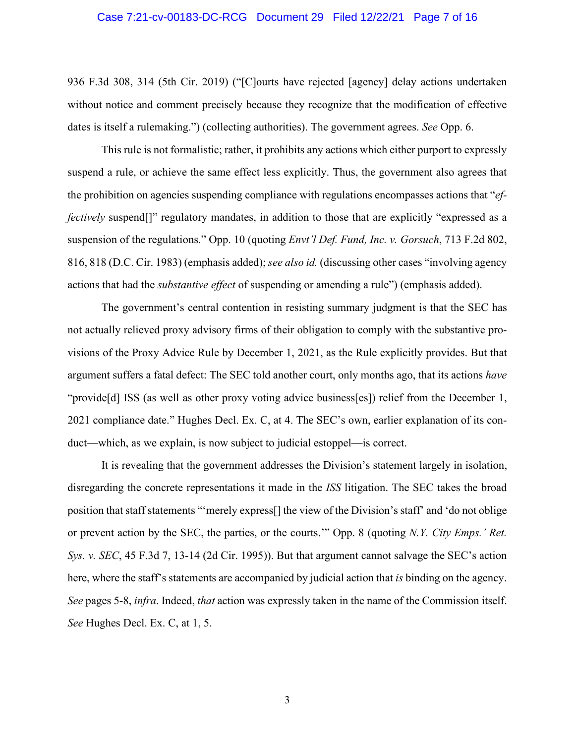#### Case 7:21-cv-00183-DC-RCG Document 29 Filed 12/22/21 Page 7 of 16

936 F.3d 308, 314 (5th Cir. 2019) ("[C]ourts have rejected [agency] delay actions undertaken without notice and comment precisely because they recognize that the modification of effective dates is itself a rulemaking.") (collecting authorities). The government agrees. *See* Opp. 6.

This rule is not formalistic; rather, it prohibits any actions which either purport to expressly suspend a rule, or achieve the same effect less explicitly. Thus, the government also agrees that the prohibition on agencies suspending compliance with regulations encompasses actions that "*effectively* suspend<sup>[]"</sup> regulatory mandates, in addition to those that are explicitly "expressed as a suspension of the regulations." Opp. 10 (quoting *Envt'l Def. Fund, Inc. v. Gorsuch*, 713 F.2d 802, 816, 818 (D.C. Cir. 1983) (emphasis added); *see also id.* (discussing other cases "involving agency actions that had the *substantive effect* of suspending or amending a rule") (emphasis added).

<span id="page-6-0"></span>The government's central contention in resisting summary judgment is that the SEC has not actually relieved proxy advisory firms of their obligation to comply with the substantive provisions of the Proxy Advice Rule by December 1, 2021, as the Rule explicitly provides. But that argument suffers a fatal defect: The SEC told another court, only months ago, that its actions *have* "provide<sup>[d]</sup> ISS (as well as other proxy voting advice business<sup>[es]</sup>) relief from the December 1, 2021 compliance date." Hughes Decl. Ex. C, at 4. The SEC's own, earlier explanation of its conduct—which, as we explain, is now subject to judicial estoppel—is correct.

<span id="page-6-1"></span>It is revealing that the government addresses the Division's statement largely in isolation, disregarding the concrete representations it made in the *ISS* litigation. The SEC takes the broad position that staff statements "'merely express[] the view of the Division's staff' and 'do not oblige or prevent action by the SEC, the parties, or the courts.'" Opp. 8 (quoting *N.Y. City Emps.' Ret. Sys. v. SEC*, 45 F.3d 7, 13-14 (2d Cir. 1995)). But that argument cannot salvage the SEC's action here, where the staff's statements are accompanied by judicial action that *is* binding on the agency. *See* pages 5-8, *infra*. Indeed, *that* action was expressly taken in the name of the Commission itself. *See* Hughes Decl. Ex. C, at 1, 5.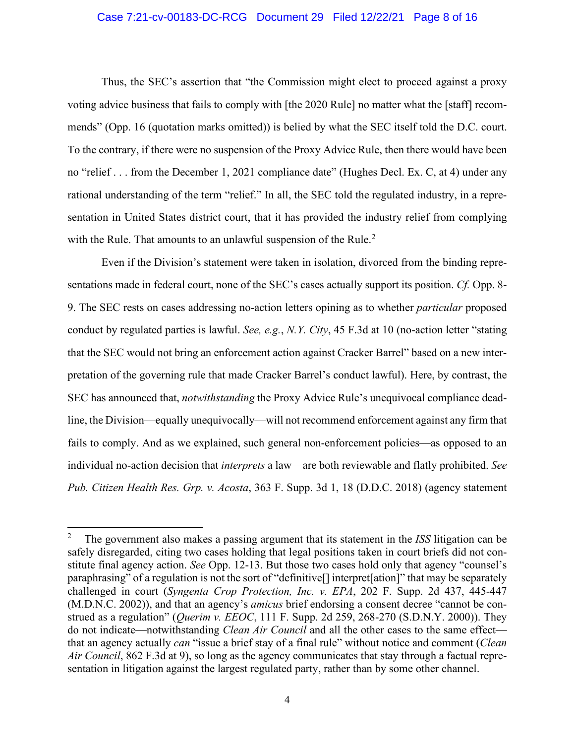#### Case 7:21-cv-00183-DC-RCG Document 29 Filed 12/22/21 Page 8 of 16

Thus, the SEC's assertion that "the Commission might elect to proceed against a proxy voting advice business that fails to comply with [the 2020 Rule] no matter what the [staff] recommends" (Opp. 16 (quotation marks omitted)) is belied by what the SEC itself told the D.C. court. To the contrary, if there were no suspension of the Proxy Advice Rule, then there would have been no "relief . . . from the December 1, 2021 compliance date" (Hughes Decl. Ex. C, at 4) under any rational understanding of the term "relief." In all, the SEC told the regulated industry, in a representation in United States district court, that it has provided the industry relief from complying with the Rule. That amounts to an unlawful suspension of the Rule.<sup>[2](#page-7-5)</sup>

<span id="page-7-1"></span>Even if the Division's statement were taken in isolation, divorced from the binding representations made in federal court, none of the SEC's cases actually support its position. *Cf.* Opp. 8- 9. The SEC rests on cases addressing no-action letters opining as to whether *particular* proposed conduct by regulated parties is lawful. *See, e.g.*, *N.Y. City*, 45 F.3d at 10 (no-action letter "stating that the SEC would not bring an enforcement action against Cracker Barrel" based on a new interpretation of the governing rule that made Cracker Barrel's conduct lawful). Here, by contrast, the SEC has announced that, *notwithstanding* the Proxy Advice Rule's unequivocal compliance deadline, the Division—equally unequivocally—will not recommend enforcement against any firm that fails to comply. And as we explained, such general non-enforcement policies—as opposed to an individual no-action decision that *interprets* a law—are both reviewable and flatly prohibited. *See Pub. Citizen Health Res. Grp. v. Acosta*, 363 F. Supp. 3d 1, 18 (D.D.C. 2018) (agency statement

<span id="page-7-5"></span><span id="page-7-4"></span><span id="page-7-3"></span><span id="page-7-2"></span><span id="page-7-0"></span><sup>2</sup> The government also makes a passing argument that its statement in the *ISS* litigation can be safely disregarded, citing two cases holding that legal positions taken in court briefs did not constitute final agency action. *See* Opp. 12-13. But those two cases hold only that agency "counsel's paraphrasing" of a regulation is not the sort of "definitive[] interpret[ation]" that may be separately challenged in court (*Syngenta Crop Protection, Inc. v. EPA*, 202 F. Supp. 2d 437, 445-447 (M.D.N.C. 2002)), and that an agency's *amicus* brief endorsing a consent decree "cannot be construed as a regulation" (*Querim v. EEOC*, 111 F. Supp. 2d 259, 268-270 (S.D.N.Y. 2000)). They do not indicate—notwithstanding *Clean Air Council* and all the other cases to the same effect that an agency actually *can* "issue a brief stay of a final rule" without notice and comment (*Clean Air Council*, 862 F.3d at 9), so long as the agency communicates that stay through a factual representation in litigation against the largest regulated party, rather than by some other channel.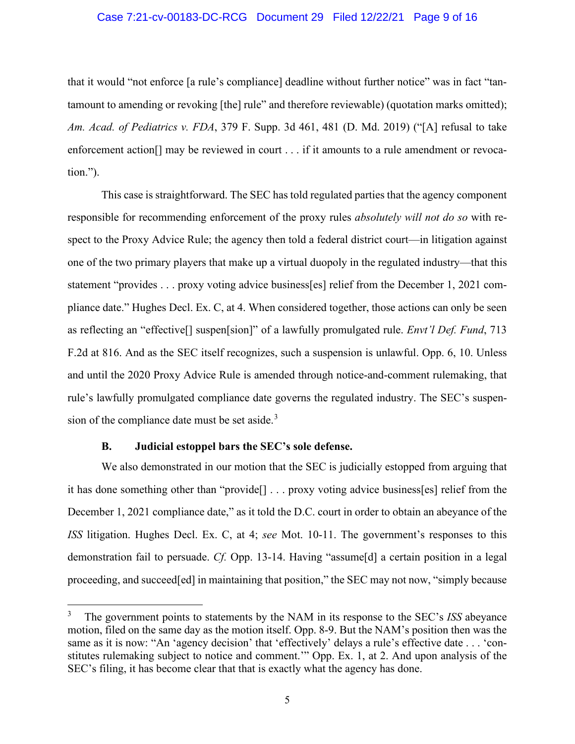#### Case 7:21-cv-00183-DC-RCG Document 29 Filed 12/22/21 Page 9 of 16

<span id="page-8-1"></span>that it would "not enforce [a rule's compliance] deadline without further notice" was in fact "tantamount to amending or revoking [the] rule" and therefore reviewable) (quotation marks omitted); *Am. Acad. of Pediatrics v. FDA*, 379 F. Supp. 3d 461, 481 (D. Md. 2019) ("[A] refusal to take enforcement action<sup>[]</sup> may be reviewed in court . . . if it amounts to a rule amendment or revocation.").

This case is straightforward. The SEC has told regulated parties that the agency component responsible for recommending enforcement of the proxy rules *absolutely will not do so* with respect to the Proxy Advice Rule; the agency then told a federal district court—in litigation against one of the two primary players that make up a virtual duopoly in the regulated industry—that this statement "provides . . . proxy voting advice business[es] relief from the December 1, 2021 compliance date." Hughes Decl. Ex. C, at 4. When considered together, those actions can only be seen as reflecting an "effective[] suspen[sion]" of a lawfully promulgated rule. *Envt'l Def. Fund*, 713 F.2d at 816. And as the SEC itself recognizes, such a suspension is unlawful. Opp. 6, 10. Unless and until the 2020 Proxy Advice Rule is amended through notice-and-comment rulemaking, that rule's lawfully promulgated compliance date governs the regulated industry. The SEC's suspen-sion of the compliance date must be set aside.<sup>[3](#page-8-3)</sup>

### <span id="page-8-2"></span>**B. Judicial estoppel bars the SEC's sole defense.**

<span id="page-8-0"></span>We also demonstrated in our motion that the SEC is judicially estopped from arguing that it has done something other than "provide[] . . . proxy voting advice business[es] relief from the December 1, 2021 compliance date," as it told the D.C. court in order to obtain an abeyance of the *ISS* litigation. Hughes Decl. Ex. C, at 4; *see* Mot. 10-11. The government's responses to this demonstration fail to persuade. *Cf.* Opp. 13-14. Having "assume[d] a certain position in a legal proceeding, and succeed[ed] in maintaining that position," the SEC may not now, "simply because

<span id="page-8-3"></span><sup>3</sup> The government points to statements by the NAM in its response to the SEC's *ISS* abeyance motion, filed on the same day as the motion itself. Opp. 8-9. But the NAM's position then was the same as it is now: "An 'agency decision' that 'effectively' delays a rule's effective date . . . 'constitutes rulemaking subject to notice and comment.'" Opp. Ex. 1, at 2. And upon analysis of the SEC's filing, it has become clear that that is exactly what the agency has done.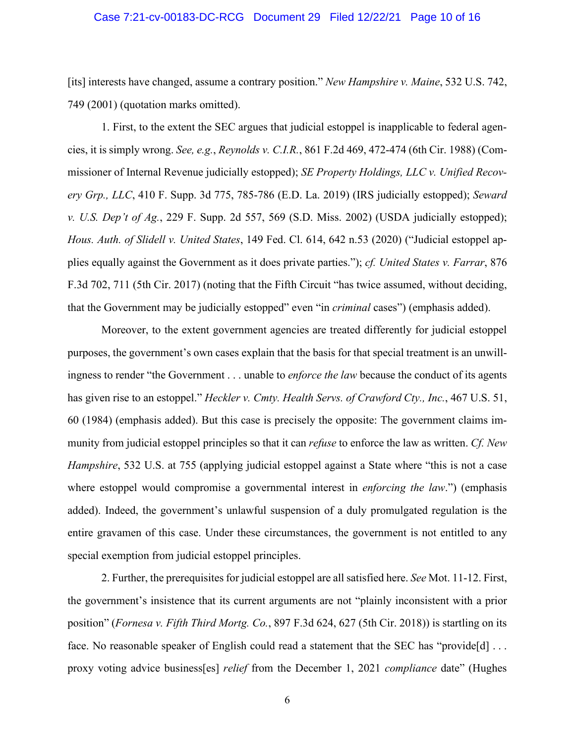#### <span id="page-9-3"></span>Case 7:21-cv-00183-DC-RCG Document 29 Filed 12/22/21 Page 10 of 16

[its] interests have changed, assume a contrary position." *New Hampshire v. Maine*, 532 U.S. 742, 749 (2001) (quotation marks omitted).

<span id="page-9-6"></span><span id="page-9-5"></span><span id="page-9-4"></span>1. First, to the extent the SEC argues that judicial estoppel is inapplicable to federal agencies, it is simply wrong. *See, e.g.*, *Reynolds v. C.I.R.*, 861 F.2d 469, 472-474 (6th Cir. 1988) (Commissioner of Internal Revenue judicially estopped); *SE Property Holdings, LLC v. Unified Recovery Grp., LLC*, 410 F. Supp. 3d 775, 785-786 (E.D. La. 2019) (IRS judicially estopped); *Seward v. U.S. Dep't of Ag.*, 229 F. Supp. 2d 557, 569 (S.D. Miss. 2002) (USDA judicially estopped); *Hous. Auth. of Slidell v. United States*, 149 Fed. Cl. 614, 642 n.53 (2020) ("Judicial estoppel applies equally against the Government as it does private parties."); *cf. United States v. Farrar*, 876 F.3d 702, 711 (5th Cir. 2017) (noting that the Fifth Circuit "has twice assumed, without deciding, that the Government may be judicially estopped" even "in *criminal* cases") (emphasis added).

<span id="page-9-7"></span><span id="page-9-2"></span><span id="page-9-1"></span>Moreover, to the extent government agencies are treated differently for judicial estoppel purposes, the government's own cases explain that the basis for that special treatment is an unwillingness to render "the Government . . . unable to *enforce the law* because the conduct of its agents has given rise to an estoppel." *Heckler v. Cmty. Health Servs. of Crawford Cty., Inc.*, 467 U.S. 51, 60 (1984) (emphasis added). But this case is precisely the opposite: The government claims immunity from judicial estoppel principles so that it can *refuse* to enforce the law as written. *Cf. New Hampshire*, 532 U.S. at 755 (applying judicial estoppel against a State where "this is not a case where estoppel would compromise a governmental interest in *enforcing the law*.") (emphasis added). Indeed, the government's unlawful suspension of a duly promulgated regulation is the entire gravamen of this case. Under these circumstances, the government is not entitled to any special exemption from judicial estoppel principles.

<span id="page-9-0"></span>2. Further, the prerequisites for judicial estoppel are all satisfied here. *See* Mot. 11-12. First, the government's insistence that its current arguments are not "plainly inconsistent with a prior position" (*Fornesa v. Fifth Third Mortg. Co.*, 897 F.3d 624, 627 (5th Cir. 2018)) is startling on its face. No reasonable speaker of English could read a statement that the SEC has "provide[d] ... proxy voting advice business[es] *relief* from the December 1, 2021 *compliance* date" (Hughes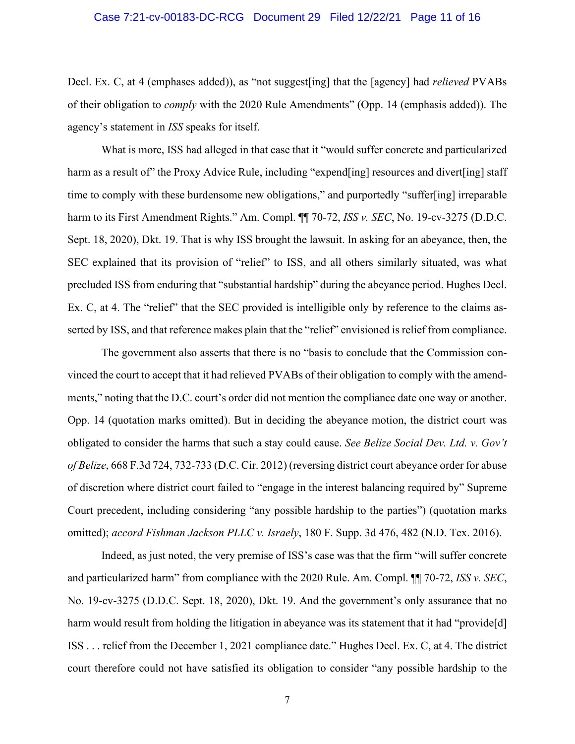#### Case 7:21-cv-00183-DC-RCG Document 29 Filed 12/22/21 Page 11 of 16

Decl. Ex. C, at 4 (emphases added)), as "not suggest[ing] that the [agency] had *relieved* PVABs of their obligation to *comply* with the 2020 Rule Amendments" (Opp. 14 (emphasis added)). The agency's statement in *ISS* speaks for itself.

What is more, ISS had alleged in that case that it "would suffer concrete and particularized harm as a result of" the Proxy Advice Rule, including "expend[ing] resources and divert[ing] staff time to comply with these burdensome new obligations," and purportedly "suffer[ing] irreparable harm to its First Amendment Rights." Am. Compl. ¶¶ 70-72, *ISS v. SEC*, No. 19-cv-3275 (D.D.C. Sept. 18, 2020), Dkt. 19. That is why ISS brought the lawsuit. In asking for an abeyance, then, the SEC explained that its provision of "relief" to ISS, and all others similarly situated, was what precluded ISS from enduring that "substantial hardship" during the abeyance period. Hughes Decl. Ex. C, at 4. The "relief" that the SEC provided is intelligible only by reference to the claims asserted by ISS, and that reference makes plain that the "relief" envisioned is relief from compliance.

<span id="page-10-0"></span>The government also asserts that there is no "basis to conclude that the Commission convinced the court to accept that it had relieved PVABs of their obligation to comply with the amendments," noting that the D.C. court's order did not mention the compliance date one way or another. Opp. 14 (quotation marks omitted). But in deciding the abeyance motion, the district court was obligated to consider the harms that such a stay could cause. *See Belize Social Dev. Ltd. v. Gov't of Belize*, 668 F.3d 724, 732-733 (D.C. Cir. 2012) (reversing district court abeyance order for abuse of discretion where district court failed to "engage in the interest balancing required by" Supreme Court precedent, including considering "any possible hardship to the parties") (quotation marks omitted); *accord Fishman Jackson PLLC v. Israely*, 180 F. Supp. 3d 476, 482 (N.D. Tex. 2016).

<span id="page-10-1"></span>Indeed, as just noted, the very premise of ISS's case was that the firm "will suffer concrete and particularized harm" from compliance with the 2020 Rule. Am. Compl. ¶¶ 70-72, *ISS v. SEC*, No. 19-cv-3275 (D.D.C. Sept. 18, 2020), Dkt. 19. And the government's only assurance that no harm would result from holding the litigation in abeyance was its statement that it had "provide[d] ISS . . . relief from the December 1, 2021 compliance date." Hughes Decl. Ex. C, at 4. The district court therefore could not have satisfied its obligation to consider "any possible hardship to the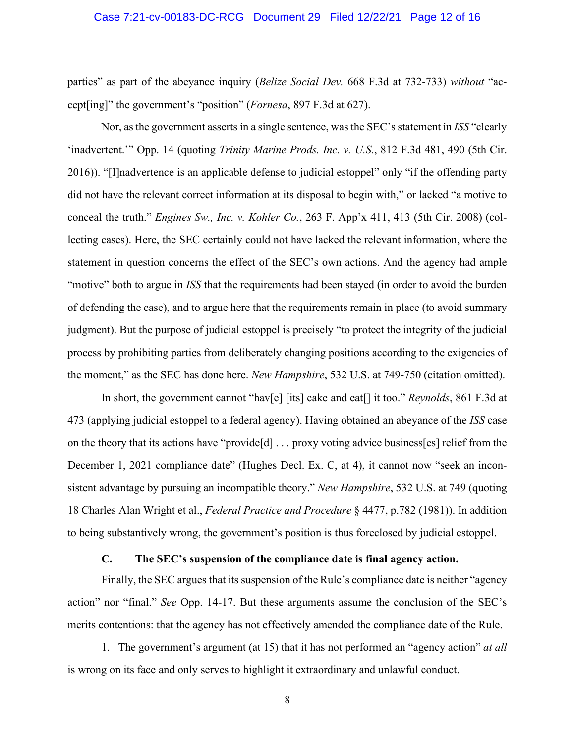#### <span id="page-11-3"></span><span id="page-11-1"></span>Case 7:21-cv-00183-DC-RCG Document 29 Filed 12/22/21 Page 12 of 16

parties" as part of the abeyance inquiry (*Belize Social Dev.* 668 F.3d at 732-733) *without* "accept[ing]" the government's "position" (*Fornesa*, 897 F.3d at 627).

<span id="page-11-6"></span><span id="page-11-2"></span>Nor, as the government asserts in a single sentence, was the SEC's statement in *ISS* "clearly 'inadvertent.'" Opp. 14 (quoting *Trinity Marine Prods. Inc. v. U.S.*, 812 F.3d 481, 490 (5th Cir. 2016)). "[I]nadvertence is an applicable defense to judicial estoppel" only "if the offending party did not have the relevant correct information at its disposal to begin with," or lacked "a motive to conceal the truth." *Engines Sw., Inc. v. Kohler Co.*, 263 F. App'x 411, 413 (5th Cir. 2008) (collecting cases). Here, the SEC certainly could not have lacked the relevant information, where the statement in question concerns the effect of the SEC's own actions. And the agency had ample "motive" both to argue in *ISS* that the requirements had been stayed (in order to avoid the burden of defending the case), and to argue here that the requirements remain in place (to avoid summary judgment). But the purpose of judicial estoppel is precisely "to protect the integrity of the judicial process by prohibiting parties from deliberately changing positions according to the exigencies of the moment," as the SEC has done here. *New Hampshire*, 532 U.S. at 749-750 (citation omitted).

<span id="page-11-4"></span>In short, the government cannot "hav[e] [its] cake and eat[] it too." *Reynolds*, 861 F.3d at 473 (applying judicial estoppel to a federal agency). Having obtained an abeyance of the *ISS* case on the theory that its actions have "provide[d] . . . proxy voting advice business[es] relief from the December 1, 2021 compliance date" (Hughes Decl. Ex. C, at 4), it cannot now "seek an inconsistent advantage by pursuing an incompatible theory." *New Hampshire*, 532 U.S. at 749 (quoting 18 Charles Alan Wright et al., *Federal Practice and Procedure* § 4477, p.782 (1981)). In addition to being substantively wrong, the government's position is thus foreclosed by judicial estoppel.

#### <span id="page-11-7"></span>**C. The SEC's suspension of the compliance date is final agency action.**

<span id="page-11-0"></span>Finally, the SEC argues that its suspension of the Rule's compliance date is neither "agency action" nor "final." *See* Opp. 14-17. But these arguments assume the conclusion of the SEC's merits contentions: that the agency has not effectively amended the compliance date of the Rule.

1. The government's argument (at 15) that it has not performed an "agency action" *at all* is wrong on its face and only serves to highlight it extraordinary and unlawful conduct.

<span id="page-11-5"></span>8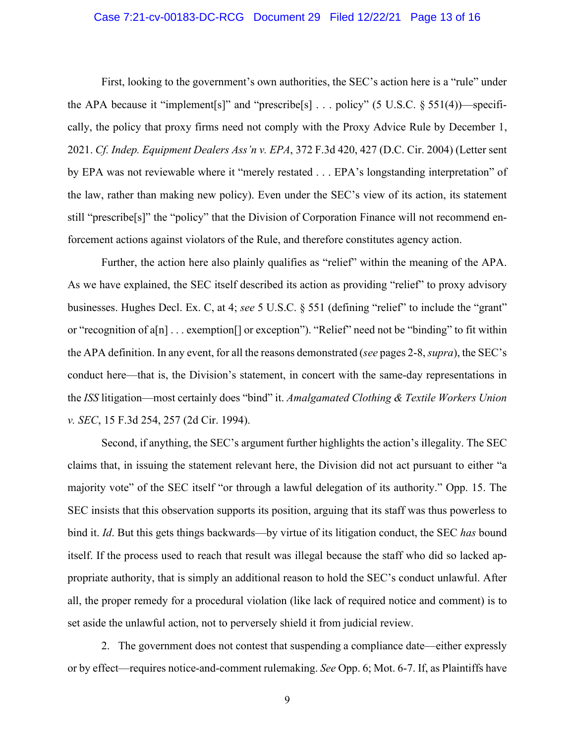#### Case 7:21-cv-00183-DC-RCG Document 29 Filed 12/22/21 Page 13 of 16

<span id="page-12-1"></span>First, looking to the government's own authorities, the SEC's action here is a "rule" under the APA because it "implement[s]" and "prescribe[s] . . . policy" (5 U.S.C. § 551(4))—specifically, the policy that proxy firms need not comply with the Proxy Advice Rule by December 1, 2021. *Cf. Indep. Equipment Dealers Ass'n v. EPA*, 372 F.3d 420, 427 (D.C. Cir. 2004) (Letter sent by EPA was not reviewable where it "merely restated . . . EPA's longstanding interpretation" of the law, rather than making new policy). Even under the SEC's view of its action, its statement still "prescribe[s]" the "policy" that the Division of Corporation Finance will not recommend enforcement actions against violators of the Rule, and therefore constitutes agency action.

<span id="page-12-2"></span>Further, the action here also plainly qualifies as "relief" within the meaning of the APA. As we have explained, the SEC itself described its action as providing "relief" to proxy advisory businesses. Hughes Decl. Ex. C, at 4; *see* 5 U.S.C. § 551 (defining "relief" to include the "grant" or "recognition of a[n] . . . exemption[] or exception"). "Relief" need not be "binding" to fit within the APA definition. In any event, for all the reasons demonstrated (*see* pages 2-8, *supra*), the SEC's conduct here—that is, the Division's statement, in concert with the same-day representations in the *ISS* litigation—most certainly does "bind" it. *Amalgamated Clothing & Textile Workers Union v. SEC*, 15 F.3d 254, 257 (2d Cir. 1994).

<span id="page-12-0"></span>Second, if anything, the SEC's argument further highlights the action's illegality. The SEC claims that, in issuing the statement relevant here, the Division did not act pursuant to either "a majority vote" of the SEC itself "or through a lawful delegation of its authority." Opp. 15. The SEC insists that this observation supports its position, arguing that its staff was thus powerless to bind it. *Id*. But this gets things backwards—by virtue of its litigation conduct, the SEC *has* bound itself. If the process used to reach that result was illegal because the staff who did so lacked appropriate authority, that is simply an additional reason to hold the SEC's conduct unlawful. After all, the proper remedy for a procedural violation (like lack of required notice and comment) is to set aside the unlawful action, not to perversely shield it from judicial review.

2. The government does not contest that suspending a compliance date—either expressly or by effect—requires notice-and-comment rulemaking. *See* Opp. 6; Mot. 6-7. If, as Plaintiffs have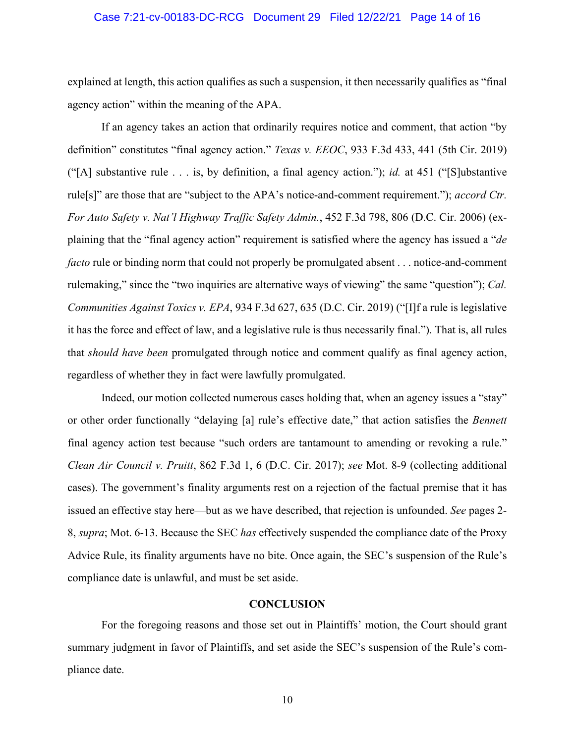#### Case 7:21-cv-00183-DC-RCG Document 29 Filed 12/22/21 Page 14 of 16

explained at length, this action qualifies as such a suspension, it then necessarily qualifies as "final agency action" within the meaning of the APA.

<span id="page-13-4"></span><span id="page-13-3"></span>If an agency takes an action that ordinarily requires notice and comment, that action "by definition" constitutes "final agency action." *Texas v. EEOC*, 933 F.3d 433, 441 (5th Cir. 2019) ("[A] substantive rule . . . is, by definition, a final agency action."); *id.* at 451 ("[S]ubstantive rule[s]" are those that are "subject to the APA's notice-and-comment requirement."); *accord Ctr. For Auto Safety v. Nat'l Highway Traffic Safety Admin.*, 452 F.3d 798, 806 (D.C. Cir. 2006) (explaining that the "final agency action" requirement is satisfied where the agency has issued a "*de facto* rule or binding norm that could not properly be promulgated absent . . . notice-and-comment rulemaking," since the "two inquiries are alternative ways of viewing" the same "question"); *Cal. Communities Against Toxics v. EPA*, 934 F.3d 627, 635 (D.C. Cir. 2019) ("[I]f a rule is legislative it has the force and effect of law, and a legislative rule is thus necessarily final."). That is, all rules that *should have been* promulgated through notice and comment qualify as final agency action, regardless of whether they in fact were lawfully promulgated.

<span id="page-13-2"></span>Indeed, our motion collected numerous cases holding that, when an agency issues a "stay" or other order functionally "delaying [a] rule's effective date," that action satisfies the *Bennett*  final agency action test because "such orders are tantamount to amending or revoking a rule." *Clean Air Council v. Pruitt*, 862 F.3d 1, 6 (D.C. Cir. 2017); *see* Mot. 8-9 (collecting additional cases). The government's finality arguments rest on a rejection of the factual premise that it has issued an effective stay here—but as we have described, that rejection is unfounded. *See* pages 2- 8, *supra*; Mot. 6-13. Because the SEC *has* effectively suspended the compliance date of the Proxy Advice Rule, its finality arguments have no bite. Once again, the SEC's suspension of the Rule's compliance date is unlawful, and must be set aside.

## <span id="page-13-1"></span>**CONCLUSION**

<span id="page-13-0"></span>For the foregoing reasons and those set out in Plaintiffs' motion, the Court should grant summary judgment in favor of Plaintiffs, and set aside the SEC's suspension of the Rule's compliance date.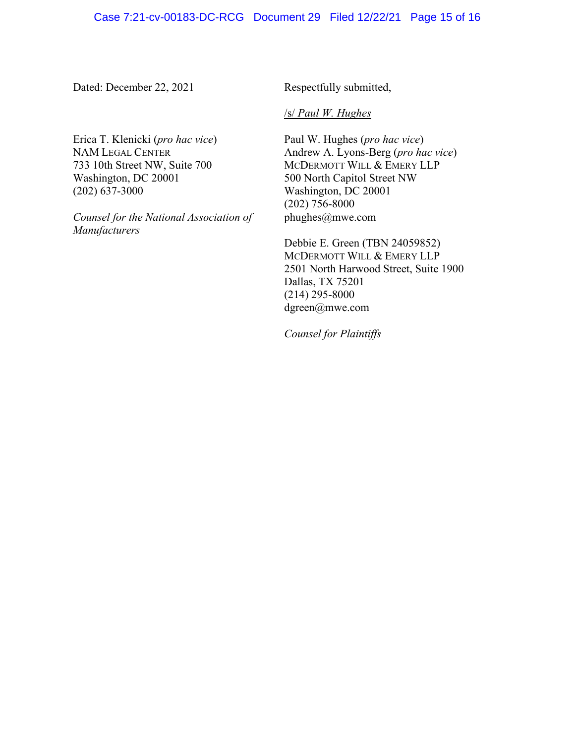Dated: December 22, 2021

Respectfully submitted,

#### /s/ *Paul W. Hughes*

Erica T. Klenicki (*pro hac vice*) NAM LEGAL CENTER 733 10th Street NW, Suite 700 Washington, DC 20001 (202) 637-3000

*Counsel for the National Association of Manufacturers*

Paul W. Hughes (*pro hac vice*) Andrew A. Lyons-Berg (*pro hac vice*) MCDERMOTT WILL & EMERY LLP 500 North Capitol Street NW Washington, DC 20001 (202) 756-8000 phughes@mwe.com

Debbie E. Green (TBN 24059852) MCDERMOTT WILL & EMERY LLP 2501 North Harwood Street, Suite 1900 Dallas, TX 75201 (214) 295-8000 dgreen@mwe.com

*Counsel for Plaintiffs*